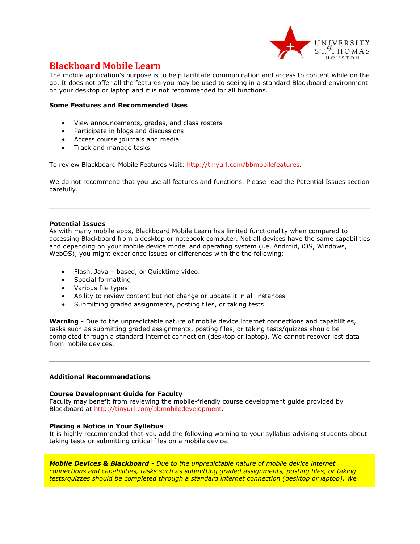

# **Blackboard Mobile Learn**

The mobile application's purpose is to help facilitate communication and access to content while on the go. It does not offer all the features you may be used to seeing in a standard Blackboard environment on your desktop or laptop and it is not recommended for all functions.

## **Some Features and Recommended Uses**

- View announcements, grades, and class rosters
- Participate in blogs and discussions
- Access course journals and media
- Track and manage tasks

To review Blackboard Mobile Features visit: [http://tinyurl.com/bbmobilefeatures.](http://tinyurl.com/bbmobilefeatures)

We do not recommend that you use all features and functions. Please read the Potential Issues section carefully.

#### **Potential Issues**

As with many mobile apps, Blackboard Mobile Learn has limited functionality when compared to accessing Blackboard from a desktop or notebook computer. Not all devices have the same capabilities and depending on your mobile device model and operating system (i.e. Android, iOS, Windows, WebOS), you might experience issues or differences with the the following:

- Flash, Java based, or Quicktime video.
- Special formatting
- Various file types
- Ability to review content but not change or update it in all instances
- Submitting graded assignments, posting files, or taking tests

**Warning -** Due to the unpredictable nature of mobile device internet connections and capabilities, tasks such as submitting graded assignments, posting files, or taking tests/quizzes should be completed through a standard internet connection (desktop or laptop). We cannot recover lost data from mobile devices.

## **Additional Recommendations**

## **Course Development Guide for Faculty**

Faculty may benefit from reviewing the mobile-friendly course development guide provided by Blackboard at [http://tinyurl.com/bbmobiledevelopment.](http://tinyurl.com/bbmobiledevelopment)

## **Placing a Notice in Your Syllabus**

It is highly recommended that you add the following warning to your syllabus advising students about taking tests or submitting critical files on a mobile device.

*Mobile Devices & Blackboard - Due to the unpredictable nature of mobile device internet connections and capabilities, tasks such as submitting graded assignments, posting files, or taking tests/quizzes should be completed through a standard internet connection (desktop or laptop). We*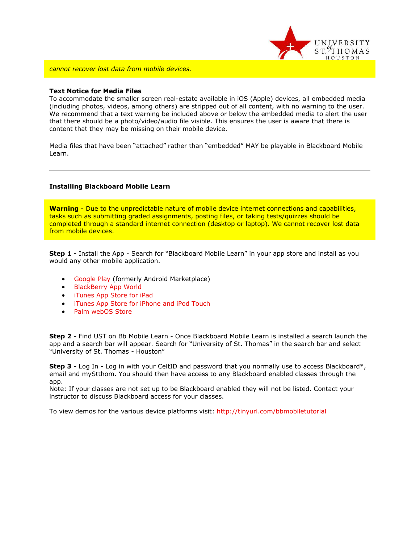

*cannot recover lost data from mobile devices.*

#### **Text Notice for Media Files**

To accommodate the smaller screen real-estate available in iOS (Apple) devices, all embedded media (including photos, videos, among others) are stripped out of all content, with no warning to the user. We recommend that a text warning be included above or below the embedded media to alert the user that there should be a photo/video/audio file visible. This ensures the user is aware that there is content that they may be missing on their mobile device.

Media files that have been "attached" rather than "embedded" MAY be playable in Blackboard Mobile Learn.

#### **Installing Blackboard Mobile Learn**

**Warning** - Due to the unpredictable nature of mobile device internet connections and capabilities, tasks such as submitting graded assignments, posting files, or taking tests/quizzes should be completed through a standard internet connection (desktop or laptop). We cannot recover lost data from mobile devices.

**Step 1 -** Install the App - Search for "Blackboard Mobile Learn" in your app store and install as you would any other mobile application.

- **[Google Play \(](https://play.google.com/store/apps/details?id=com.blackboard.android)formerly Android Marketplace)**
- [BlackBerry App World](http://appworld.blackberry.com/webstore/content/11214/)
- **•** [iTunes App Store for iPad](http://itunes.apple.com/us/app/blackboard-mobile-learn/id364252826?mt=8oard-mobile-learn/id364252826?mt=8)
- **•** [iTunes App Store for iPhone and iPod Touch](http://itunes.apple.com/us/app/blackboard-mobile-learn-for/id376413870?mt=8)
- [Palm webOS Store](https://developer.palm.com/appredirect/?packageid=com.blackboard.app.mobilelearn)

**Step 2 -** Find UST on Bb Mobile Learn - Once Blackboard Mobile Learn is installed a search launch the app and a search bar will appear. Search for "University of St. Thomas" in the search bar and select "University of St. Thomas - Houston"

**Step 3 -** Log In - Log in with your CeltID and password that you normally use to access Blackboard\*, email and myStthom. You should then have access to any Blackboard enabled classes through the app.

Note: If your classes are not set up to be Blackboard enabled they will not be listed. Contact your instructor to discuss Blackboard access for your classes.

To view demos for the various device platforms visit:<http://tinyurl.com/bbmobiletutorial>